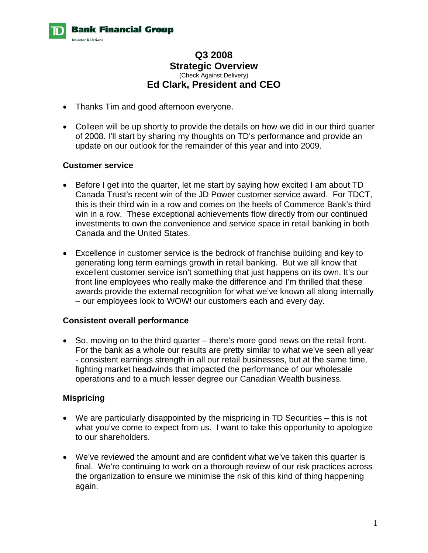

# **Q3 2008 Strategic Overview**  (Check Against Delivery) **Ed Clark, President and CEO**

- Thanks Tim and good afternoon everyone.
- Colleen will be up shortly to provide the details on how we did in our third quarter of 2008. I'll start by sharing my thoughts on TD's performance and provide an update on our outlook for the remainder of this year and into 2009.

### **Customer service**

- Before I get into the quarter, let me start by saying how excited I am about TD Canada Trust's recent win of the JD Power customer service award. For TDCT, this is their third win in a row and comes on the heels of Commerce Bank's third win in a row. These exceptional achievements flow directly from our continued investments to own the convenience and service space in retail banking in both Canada and the United States.
- Excellence in customer service is the bedrock of franchise building and key to generating long term earnings growth in retail banking. But we all know that excellent customer service isn't something that just happens on its own. It's our front line employees who really make the difference and I'm thrilled that these awards provide the external recognition for what we've known all along internally – our employees look to WOW! our customers each and every day.

### **Consistent overall performance**

• So, moving on to the third quarter – there's more good news on the retail front. For the bank as a whole our results are pretty similar to what we've seen all year - consistent earnings strength in all our retail businesses, but at the same time, fighting market headwinds that impacted the performance of our wholesale operations and to a much lesser degree our Canadian Wealth business.

### **Mispricing**

- We are particularly disappointed by the mispricing in TD Securities this is not what you've come to expect from us. I want to take this opportunity to apologize to our shareholders.
- We've reviewed the amount and are confident what we've taken this quarter is final. We're continuing to work on a thorough review of our risk practices across the organization to ensure we minimise the risk of this kind of thing happening again.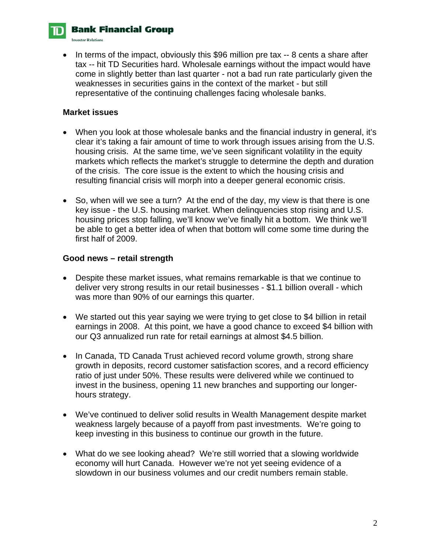

**Investor Relations.** 

• In terms of the impact, obviously this \$96 million pre tax -- 8 cents a share after tax -- hit TD Securities hard. Wholesale earnings without the impact would have come in slightly better than last quarter - not a bad run rate particularly given the weaknesses in securities gains in the context of the market - but still representative of the continuing challenges facing wholesale banks.

# **Market issues**

- When you look at those wholesale banks and the financial industry in general, it's clear it's taking a fair amount of time to work through issues arising from the U.S. housing crisis. At the same time, we've seen significant volatility in the equity markets which reflects the market's struggle to determine the depth and duration of the crisis. The core issue is the extent to which the housing crisis and resulting financial crisis will morph into a deeper general economic crisis.
- So, when will we see a turn? At the end of the day, my view is that there is one key issue - the U.S. housing market. When delinquencies stop rising and U.S. housing prices stop falling, we'll know we've finally hit a bottom. We think we'll be able to get a better idea of when that bottom will come some time during the first half of 2009.

#### **Good news – retail strength**

- Despite these market issues, what remains remarkable is that we continue to deliver very strong results in our retail businesses - \$1.1 billion overall - which was more than 90% of our earnings this quarter.
- We started out this year saying we were trying to get close to \$4 billion in retail earnings in 2008. At this point, we have a good chance to exceed \$4 billion with our Q3 annualized run rate for retail earnings at almost \$4.5 billion.
- In Canada, TD Canada Trust achieved record volume growth, strong share growth in deposits, record customer satisfaction scores, and a record efficiency ratio of just under 50%. These results were delivered while we continued to invest in the business, opening 11 new branches and supporting our longerhours strategy.
- We've continued to deliver solid results in Wealth Management despite market weakness largely because of a payoff from past investments. We're going to keep investing in this business to continue our growth in the future.
- What do we see looking ahead? We're still worried that a slowing worldwide economy will hurt Canada. However we're not yet seeing evidence of a slowdown in our business volumes and our credit numbers remain stable.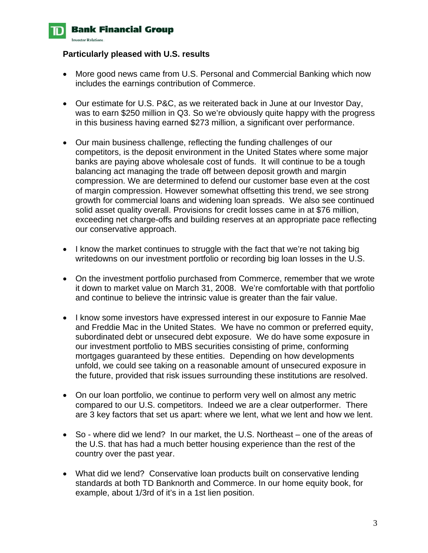

#### **Particularly pleased with U.S. results**

- More good news came from U.S. Personal and Commercial Banking which now includes the earnings contribution of Commerce.
- Our estimate for U.S. P&C, as we reiterated back in June at our Investor Day, was to earn \$250 million in Q3. So we're obviously quite happy with the progress in this business having earned \$273 million, a significant over performance.
- Our main business challenge, reflecting the funding challenges of our competitors, is the deposit environment in the United States where some major banks are paying above wholesale cost of funds. It will continue to be a tough balancing act managing the trade off between deposit growth and margin compression. We are determined to defend our customer base even at the cost of margin compression. However somewhat offsetting this trend, we see strong growth for commercial loans and widening loan spreads. We also see continued solid asset quality overall. Provisions for credit losses came in at \$76 million, exceeding net charge-offs and building reserves at an appropriate pace reflecting our conservative approach.
- I know the market continues to struggle with the fact that we're not taking big writedowns on our investment portfolio or recording big loan losses in the U.S.
- On the investment portfolio purchased from Commerce, remember that we wrote it down to market value on March 31, 2008. We're comfortable with that portfolio and continue to believe the intrinsic value is greater than the fair value.
- I know some investors have expressed interest in our exposure to Fannie Mae and Freddie Mac in the United States. We have no common or preferred equity, subordinated debt or unsecured debt exposure. We do have some exposure in our investment portfolio to MBS securities consisting of prime, conforming mortgages guaranteed by these entities. Depending on how developments unfold, we could see taking on a reasonable amount of unsecured exposure in the future, provided that risk issues surrounding these institutions are resolved.
- On our loan portfolio, we continue to perform very well on almost any metric compared to our U.S. competitors. Indeed we are a clear outperformer. There are 3 key factors that set us apart: where we lent, what we lent and how we lent.
- So where did we lend? In our market, the U.S. Northeast one of the areas of the U.S. that has had a much better housing experience than the rest of the country over the past year.
- What did we lend? Conservative loan products built on conservative lending standards at both TD Banknorth and Commerce. In our home equity book, for example, about 1/3rd of it's in a 1st lien position.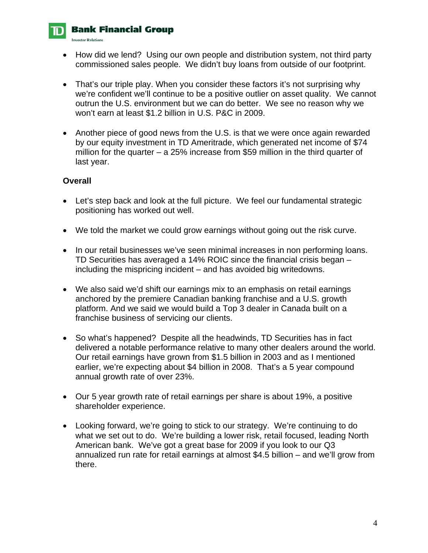# **Bank Financial Group**

**Investor Relations**.

- How did we lend? Using our own people and distribution system, not third party commissioned sales people. We didn't buy loans from outside of our footprint.
- That's our triple play. When you consider these factors it's not surprising why we're confident we'll continue to be a positive outlier on asset quality. We cannot outrun the U.S. environment but we can do better. We see no reason why we won't earn at least \$1.2 billion in U.S. P&C in 2009.
- Another piece of good news from the U.S. is that we were once again rewarded by our equity investment in TD Ameritrade, which generated net income of \$74 million for the quarter – a 25% increase from \$59 million in the third quarter of last year.

# **Overall**

- Let's step back and look at the full picture. We feel our fundamental strategic positioning has worked out well.
- We told the market we could grow earnings without going out the risk curve.
- In our retail businesses we've seen minimal increases in non performing loans. TD Securities has averaged a 14% ROIC since the financial crisis began – including the mispricing incident – and has avoided big writedowns.
- We also said we'd shift our earnings mix to an emphasis on retail earnings anchored by the premiere Canadian banking franchise and a U.S. growth platform. And we said we would build a Top 3 dealer in Canada built on a franchise business of servicing our clients.
- So what's happened? Despite all the headwinds, TD Securities has in fact delivered a notable performance relative to many other dealers around the world. Our retail earnings have grown from \$1.5 billion in 2003 and as I mentioned earlier, we're expecting about \$4 billion in 2008. That's a 5 year compound annual growth rate of over 23%.
- Our 5 year growth rate of retail earnings per share is about 19%, a positive shareholder experience.
- Looking forward, we're going to stick to our strategy. We're continuing to do what we set out to do. We're building a lower risk, retail focused, leading North American bank. We've got a great base for 2009 if you look to our Q3 annualized run rate for retail earnings at almost \$4.5 billion – and we'll grow from there.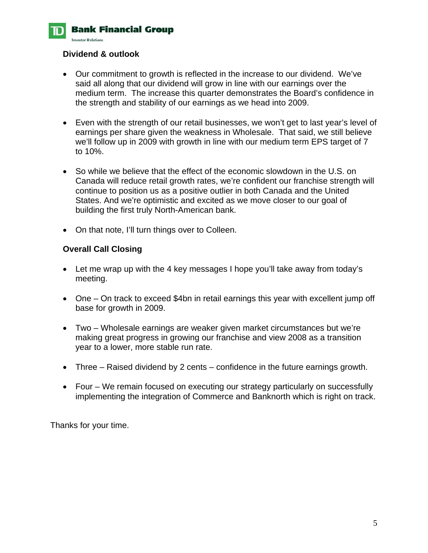

# **Dividend & outlook**

- Our commitment to growth is reflected in the increase to our dividend. We've said all along that our dividend will grow in line with our earnings over the medium term. The increase this quarter demonstrates the Board's confidence in the strength and stability of our earnings as we head into 2009.
- Even with the strength of our retail businesses, we won't get to last year's level of earnings per share given the weakness in Wholesale. That said, we still believe we'll follow up in 2009 with growth in line with our medium term EPS target of 7 to 10%.
- So while we believe that the effect of the economic slowdown in the U.S. on Canada will reduce retail growth rates, we're confident our franchise strength will continue to position us as a positive outlier in both Canada and the United States. And we're optimistic and excited as we move closer to our goal of building the first truly North-American bank.
- On that note, I'll turn things over to Colleen.

# **Overall Call Closing**

- Let me wrap up with the 4 key messages I hope you'll take away from today's meeting.
- One On track to exceed \$4bn in retail earnings this year with excellent jump off base for growth in 2009.
- Two Wholesale earnings are weaker given market circumstances but we're making great progress in growing our franchise and view 2008 as a transition year to a lower, more stable run rate.
- Three Raised dividend by 2 cents confidence in the future earnings growth.
- Four We remain focused on executing our strategy particularly on successfully implementing the integration of Commerce and Banknorth which is right on track.

Thanks for your time.